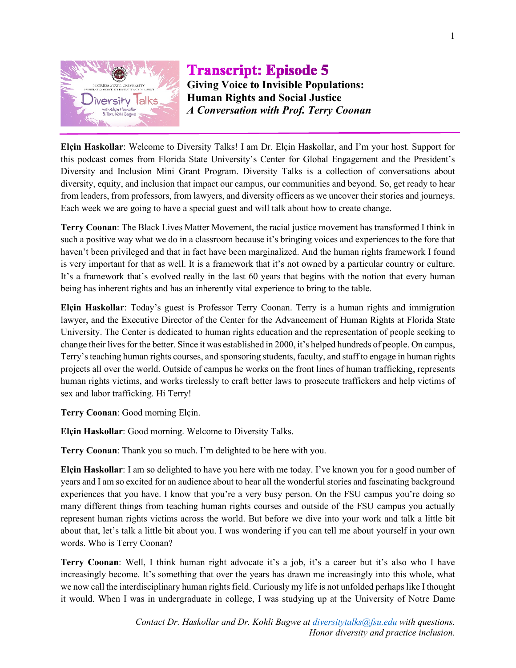

## **Transcript: Episode 5 Giving Voice to Invisible Populations: Human Rights and Social Justice** *A Conversation with Prof. Terry Coonan*

**Elçin Haskollar**: Welcome to Diversity Talks! I am Dr. Elçin Haskollar, and I'm your host. Support for this podcast comes from Florida State University's Center for Global Engagement and the President's Diversity and Inclusion Mini Grant Program. Diversity Talks is a collection of conversations about diversity, equity, and inclusion that impact our campus, our communities and beyond. So, get ready to hear from leaders, from professors, from lawyers, and diversity officers as we uncover their stories and journeys. Each week we are going to have a special guest and will talk about how to create change.

**Terry Coonan**: The Black Lives Matter Movement, the racial justice movement has transformed I think in such a positive way what we do in a classroom because it's bringing voices and experiences to the fore that haven't been privileged and that in fact have been marginalized. And the human rights framework I found is very important for that as well. It is a framework that it's not owned by a particular country or culture. It's a framework that's evolved really in the last 60 years that begins with the notion that every human being has inherent rights and has an inherently vital experience to bring to the table.

**Elçin Haskollar**: Today's guest is Professor Terry Coonan. Terry is a human rights and immigration lawyer, and the Executive Director of the Center for the Advancement of Human Rights at Florida State University. The Center is dedicated to human rights education and the representation of people seeking to change their lives for the better. Since it was established in 2000, it's helped hundreds of people. On campus, Terry's teaching human rights courses, and sponsoring students, faculty, and staff to engage in human rights projects all over the world. Outside of campus he works on the front lines of human trafficking, represents human rights victims, and works tirelessly to craft better laws to prosecute traffickers and help victims of sex and labor trafficking. Hi Terry!

**Terry Coonan**: Good morning Elçin.

**Elçin Haskollar**: Good morning. Welcome to Diversity Talks.

**Terry Coonan**: Thank you so much. I'm delighted to be here with you.

**Elçin Haskollar**: I am so delighted to have you here with me today. I've known you for a good number of years and I am so excited for an audience about to hear all the wonderful stories and fascinating background experiences that you have. I know that you're a very busy person. On the FSU campus you're doing so many different things from teaching human rights courses and outside of the FSU campus you actually represent human rights victims across the world. But before we dive into your work and talk a little bit about that, let's talk a little bit about you. I was wondering if you can tell me about yourself in your own words. Who is Terry Coonan?

**Terry Coonan:** Well, I think human right advocate it's a job, it's a career but it's also who I have increasingly become. It's something that over the years has drawn me increasingly into this whole, what we now call the interdisciplinary human rights field. Curiously my life is not unfolded perhaps like I thought it would. When I was in undergraduate in college, I was studying up at the University of Notre Dame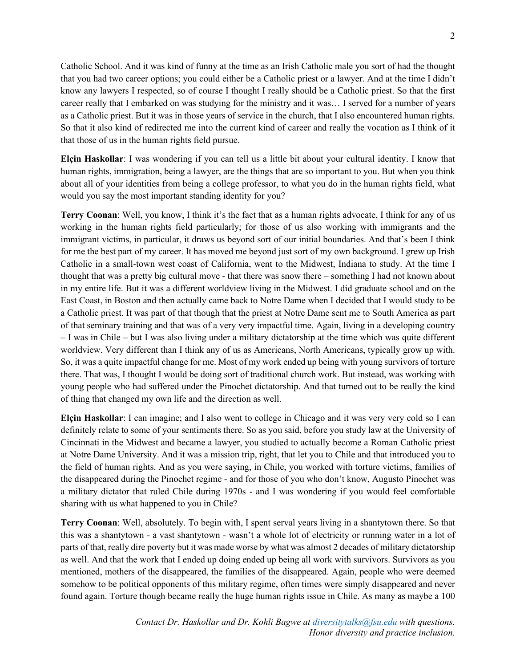Catholic School. And it was kind of funny at the time as an Irish Catholic male you sort of had the thought that you had two career options; you could either be a Catholic priest or a lawyer. And at the time I didn't know any lawyers I respected, so of course I thought I really should be a Catholic priest. So that the first career really that I embarked on was studying for the ministry and it was… I served for a number of years as a Catholic priest. But it was in those years of service in the church, that I also encountered human rights. So that it also kind of redirected me into the current kind of career and really the vocation as I think of it that those of us in the human rights field pursue.

**Elçin Haskollar**: I was wondering if you can tell us a little bit about your cultural identity. I know that human rights, immigration, being a lawyer, are the things that are so important to you. But when you think about all of your identities from being a college professor, to what you do in the human rights field, what would you say the most important standing identity for you?

**Terry Coonan**: Well, you know, I think it's the fact that as a human rights advocate, I think for any of us working in the human rights field particularly; for those of us also working with immigrants and the immigrant victims, in particular, it draws us beyond sort of our initial boundaries. And that's been I think for me the best part of my career. It has moved me beyond just sort of my own background. I grew up Irish Catholic in a small-town west coast of California, went to the Midwest, Indiana to study. At the time I thought that was a pretty big cultural move - that there was snow there – something I had not known about in my entire life. But it was a different worldview living in the Midwest. I did graduate school and on the East Coast, in Boston and then actually came back to Notre Dame when I decided that I would study to be a Catholic priest. It was part of that though that the priest at Notre Dame sent me to South America as part of that seminary training and that was of a very very impactful time. Again, living in a developing country – I was in Chile – but I was also living under a military dictatorship at the time which was quite different worldview. Very different than I think any of us as Americans, North Americans, typically grow up with. So, it was a quite impactful change for me. Most of my work ended up being with young survivors of torture there. That was, I thought I would be doing sort of traditional church work. But instead, was working with young people who had suffered under the Pinochet dictatorship. And that turned out to be really the kind of thing that changed my own life and the direction as well.

**Elçin Haskollar**: I can imagine; and I also went to college in Chicago and it was very very cold so I can definitely relate to some of your sentiments there. So as you said, before you study law at the University of Cincinnati in the Midwest and became a lawyer, you studied to actually become a Roman Catholic priest at Notre Dame University. And it was a mission trip, right, that let you to Chile and that introduced you to the field of human rights. And as you were saying, in Chile, you worked with torture victims, families of the disappeared during the Pinochet regime - and for those of you who don't know, Augusto Pinochet was a military dictator that ruled Chile during 1970s - and I was wondering if you would feel comfortable sharing with us what happened to you in Chile?

**Terry Coonan**: Well, absolutely. To begin with, I spent serval years living in a shantytown there. So that this was a shantytown - a vast shantytown - wasn't a whole lot of electricity or running water in a lot of parts of that, really dire poverty but it was made worse by what was almost 2 decades of military dictatorship as well. And that the work that I ended up doing ended up being all work with survivors. Survivors as you mentioned, mothers of the disappeared, the families of the disappeared. Again, people who were deemed somehow to be political opponents of this military regime, often times were simply disappeared and never found again. Torture though became really the huge human rights issue in Chile. As many as maybe a 100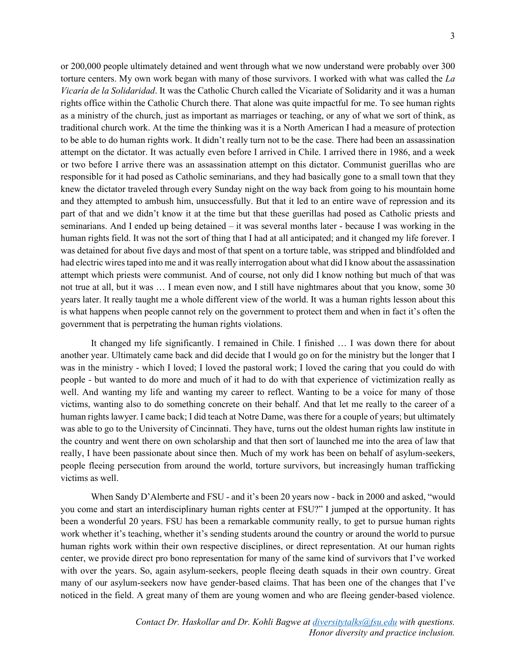or 200,000 people ultimately detained and went through what we now understand were probably over 300 torture centers. My own work began with many of those survivors. I worked with what was called the *La Vicaría de la Solidaridad*. It was the Catholic Church called the Vicariate of Solidarity and it was a human rights office within the Catholic Church there. That alone was quite impactful for me. To see human rights as a ministry of the church, just as important as marriages or teaching, or any of what we sort of think, as traditional church work. At the time the thinking was it is a North American I had a measure of protection to be able to do human rights work. It didn't really turn not to be the case. There had been an assassination attempt on the dictator. It was actually even before I arrived in Chile. I arrived there in 1986, and a week or two before I arrive there was an assassination attempt on this dictator. Communist guerillas who are responsible for it had posed as Catholic seminarians, and they had basically gone to a small town that they knew the dictator traveled through every Sunday night on the way back from going to his mountain home and they attempted to ambush him, unsuccessfully. But that it led to an entire wave of repression and its part of that and we didn't know it at the time but that these guerillas had posed as Catholic priests and seminarians. And I ended up being detained – it was several months later - because I was working in the human rights field. It was not the sort of thing that I had at all anticipated; and it changed my life forever. I was detained for about five days and most of that spent on a torture table, was stripped and blindfolded and had electric wires taped into me and it was really interrogation about what did I know about the assassination attempt which priests were communist. And of course, not only did I know nothing but much of that was not true at all, but it was … I mean even now, and I still have nightmares about that you know, some 30 years later. It really taught me a whole different view of the world. It was a human rights lesson about this is what happens when people cannot rely on the government to protect them and when in fact it's often the government that is perpetrating the human rights violations.

It changed my life significantly. I remained in Chile. I finished … I was down there for about another year. Ultimately came back and did decide that I would go on for the ministry but the longer that I was in the ministry - which I loved; I loved the pastoral work; I loved the caring that you could do with people - but wanted to do more and much of it had to do with that experience of victimization really as well. And wanting my life and wanting my career to reflect. Wanting to be a voice for many of those victims, wanting also to do something concrete on their behalf. And that let me really to the career of a human rights lawyer. I came back; I did teach at Notre Dame, was there for a couple of years; but ultimately was able to go to the University of Cincinnati. They have, turns out the oldest human rights law institute in the country and went there on own scholarship and that then sort of launched me into the area of law that really, I have been passionate about since then. Much of my work has been on behalf of asylum-seekers, people fleeing persecution from around the world, torture survivors, but increasingly human trafficking victims as well.

When Sandy D'Alemberte and FSU - and it's been 20 years now - back in 2000 and asked, "would you come and start an interdisciplinary human rights center at FSU?" I jumped at the opportunity. It has been a wonderful 20 years. FSU has been a remarkable community really, to get to pursue human rights work whether it's teaching, whether it's sending students around the country or around the world to pursue human rights work within their own respective disciplines, or direct representation. At our human rights center, we provide direct pro bono representation for many of the same kind of survivors that I've worked with over the years. So, again asylum-seekers, people fleeing death squads in their own country. Great many of our asylum-seekers now have gender-based claims. That has been one of the changes that I've noticed in the field. A great many of them are young women and who are fleeing gender-based violence.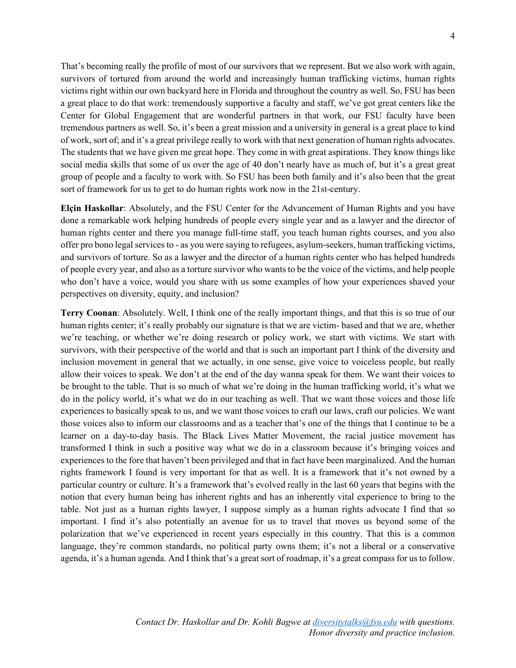That's becoming really the profile of most of our survivors that we represent. But we also work with again, survivors of tortured from around the world and increasingly human trafficking victims, human rights victims right within our own backyard here in Florida and throughout the country as well. So, FSU has been a great place to do that work: tremendously supportive a faculty and staff, we've got great centers like the Center for Global Engagement that are wonderful partners in that work, our FSU faculty have been tremendous partners as well. So, it's been a great mission and a university in general is a great place to kind of work, sort of; and it's a great privilege really to work with that next generation of human rights advocates. The students that we have given me great hope. They come in with great aspirations. They know things like social media skills that some of us over the age of 40 don't nearly have as much of, but it's a great great group of people and a faculty to work with. So FSU has been both family and it's also been that the great sort of framework for us to get to do human rights work now in the 21st-century.

**Elçin Haskollar**: Absolutely, and the FSU Center for the Advancement of Human Rights and you have done a remarkable work helping hundreds of people every single year and as a lawyer and the director of human rights center and there you manage full-time staff, you teach human rights courses, and you also offer pro bono legal services to - as you were saying to refugees, asylum-seekers, human trafficking victims, and survivors of torture. So as a lawyer and the director of a human rights center who has helped hundreds of people every year, and also as a torture survivor who wants to be the voice of the victims, and help people who don't have a voice, would you share with us some examples of how your experiences shaved your perspectives on diversity, equity, and inclusion?

**Terry Coonan**: Absolutely. Well, I think one of the really important things, and that this is so true of our human rights center; it's really probably our signature is that we are victim- based and that we are, whether we're teaching, or whether we're doing research or policy work, we start with victims. We start with survivors, with their perspective of the world and that is such an important part I think of the diversity and inclusion movement in general that we actually, in one sense, give voice to voiceless people, but really allow their voices to speak. We don't at the end of the day wanna speak for them. We want their voices to be brought to the table. That is so much of what we're doing in the human trafficking world, it's what we do in the policy world, it's what we do in our teaching as well. That we want those voices and those life experiences to basically speak to us, and we want those voices to craft our laws, craft our policies. We want those voices also to inform our classrooms and as a teacher that's one of the things that I continue to be a learner on a day-to-day basis. The Black Lives Matter Movement, the racial justice movement has transformed I think in such a positive way what we do in a classroom because it's bringing voices and experiences to the fore that haven't been privileged and that in fact have been marginalized. And the human rights framework I found is very important for that as well. It is a framework that it's not owned by a particular country or culture. It's a framework that's evolved really in the last 60 years that begins with the notion that every human being has inherent rights and has an inherently vital experience to bring to the table. Not just as a human rights lawyer, I suppose simply as a human rights advocate I find that so important. I find it's also potentially an avenue for us to travel that moves us beyond some of the polarization that we've experienced in recent years especially in this country. That this is a common language, they're common standards, no political party owns them; it's not a liberal or a conservative agenda, it's a human agenda. And I think that's a great sort of roadmap, it's a great compass for us to follow.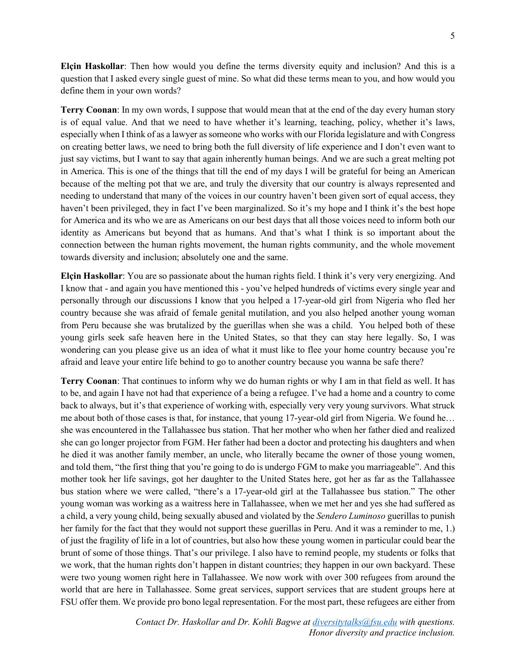**Elçin Haskollar**: Then how would you define the terms diversity equity and inclusion? And this is a question that I asked every single guest of mine. So what did these terms mean to you, and how would you define them in your own words?

**Terry Coonan**: In my own words, I suppose that would mean that at the end of the day every human story is of equal value. And that we need to have whether it's learning, teaching, policy, whether it's laws, especially when I think of as a lawyer as someone who works with our Florida legislature and with Congress on creating better laws, we need to bring both the full diversity of life experience and I don't even want to just say victims, but I want to say that again inherently human beings. And we are such a great melting pot in America. This is one of the things that till the end of my days I will be grateful for being an American because of the melting pot that we are, and truly the diversity that our country is always represented and needing to understand that many of the voices in our country haven't been given sort of equal access, they haven't been privileged, they in fact I've been marginalized. So it's my hope and I think it's the best hope for America and its who we are as Americans on our best days that all those voices need to inform both our identity as Americans but beyond that as humans. And that's what I think is so important about the connection between the human rights movement, the human rights community, and the whole movement towards diversity and inclusion; absolutely one and the same.

**Elçin Haskollar**: You are so passionate about the human rights field. I think it's very very energizing. And I know that - and again you have mentioned this - you've helped hundreds of victims every single year and personally through our discussions I know that you helped a 17-year-old girl from Nigeria who fled her country because she was afraid of female genital mutilation, and you also helped another young woman from Peru because she was brutalized by the guerillas when she was a child. You helped both of these young girls seek safe heaven here in the United States, so that they can stay here legally. So, I was wondering can you please give us an idea of what it must like to flee your home country because you're afraid and leave your entire life behind to go to another country because you wanna be safe there?

**Terry Coonan**: That continues to inform why we do human rights or why I am in that field as well. It has to be, and again I have not had that experience of a being a refugee. I've had a home and a country to come back to always, but it's that experience of working with, especially very very young survivors. What struck me about both of those cases is that, for instance, that young 17-year-old girl from Nigeria. We found he… she was encountered in the Tallahassee bus station. That her mother who when her father died and realized she can go longer projector from FGM. Her father had been a doctor and protecting his daughters and when he died it was another family member, an uncle, who literally became the owner of those young women, and told them, "the first thing that you're going to do is undergo FGM to make you marriageable". And this mother took her life savings, got her daughter to the United States here, got her as far as the Tallahassee bus station where we were called, "there's a 17-year-old girl at the Tallahassee bus station." The other young woman was working as a waitress here in Tallahassee, when we met her and yes she had suffered as a child, a very young child, being sexually abused and violated by the *Sendero Luminoso* guerillas to punish her family for the fact that they would not support these guerillas in Peru. And it was a reminder to me, 1.) of just the fragility of life in a lot of countries, but also how these young women in particular could bear the brunt of some of those things. That's our privilege. I also have to remind people, my students or folks that we work, that the human rights don't happen in distant countries; they happen in our own backyard. These were two young women right here in Tallahassee. We now work with over 300 refugees from around the world that are here in Tallahassee. Some great services, support services that are student groups here at FSU offer them. We provide pro bono legal representation. For the most part, these refugees are either from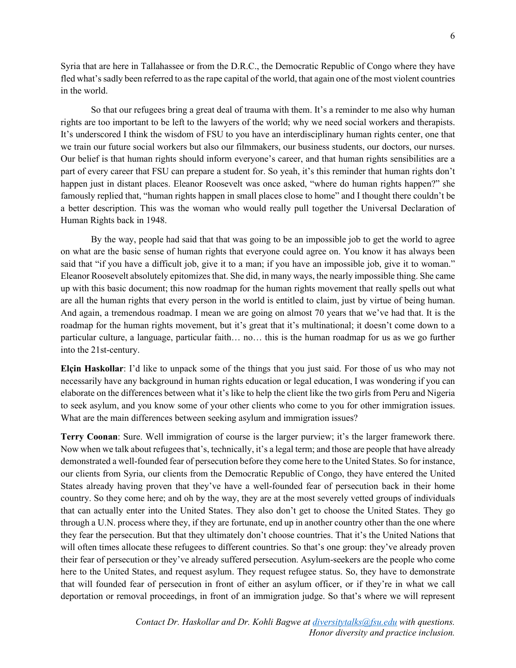Syria that are here in Tallahassee or from the D.R.C., the Democratic Republic of Congo where they have fled what's sadly been referred to as the rape capital of the world, that again one of the most violent countries in the world.

So that our refugees bring a great deal of trauma with them. It's a reminder to me also why human rights are too important to be left to the lawyers of the world; why we need social workers and therapists. It's underscored I think the wisdom of FSU to you have an interdisciplinary human rights center, one that we train our future social workers but also our filmmakers, our business students, our doctors, our nurses. Our belief is that human rights should inform everyone's career, and that human rights sensibilities are a part of every career that FSU can prepare a student for. So yeah, it's this reminder that human rights don't happen just in distant places. Eleanor Roosevelt was once asked, "where do human rights happen?" she famously replied that, "human rights happen in small places close to home" and I thought there couldn't be a better description. This was the woman who would really pull together the Universal Declaration of Human Rights back in 1948.

By the way, people had said that that was going to be an impossible job to get the world to agree on what are the basic sense of human rights that everyone could agree on. You know it has always been said that "if you have a difficult job, give it to a man; if you have an impossible job, give it to woman." Eleanor Roosevelt absolutely epitomizes that. She did, in many ways, the nearly impossible thing. She came up with this basic document; this now roadmap for the human rights movement that really spells out what are all the human rights that every person in the world is entitled to claim, just by virtue of being human. And again, a tremendous roadmap. I mean we are going on almost 70 years that we've had that. It is the roadmap for the human rights movement, but it's great that it's multinational; it doesn't come down to a particular culture, a language, particular faith… no… this is the human roadmap for us as we go further into the 21st-century.

**Elçin Haskollar**: I'd like to unpack some of the things that you just said. For those of us who may not necessarily have any background in human rights education or legal education, I was wondering if you can elaborate on the differences between what it's like to help the client like the two girls from Peru and Nigeria to seek asylum, and you know some of your other clients who come to you for other immigration issues. What are the main differences between seeking asylum and immigration issues?

**Terry Coonan**: Sure. Well immigration of course is the larger purview; it's the larger framework there. Now when we talk about refugees that's, technically, it's a legal term; and those are people that have already demonstrated a well-founded fear of persecution before they come here to the United States. So for instance, our clients from Syria, our clients from the Democratic Republic of Congo, they have entered the United States already having proven that they've have a well-founded fear of persecution back in their home country. So they come here; and oh by the way, they are at the most severely vetted groups of individuals that can actually enter into the United States. They also don't get to choose the United States. They go through a U.N. process where they, if they are fortunate, end up in another country other than the one where they fear the persecution. But that they ultimately don't choose countries. That it's the United Nations that will often times allocate these refugees to different countries. So that's one group: they've already proven their fear of persecution or they've already suffered persecution. Asylum-seekers are the people who come here to the United States, and request asylum. They request refugee status. So, they have to demonstrate that will founded fear of persecution in front of either an asylum officer, or if they're in what we call deportation or removal proceedings, in front of an immigration judge. So that's where we will represent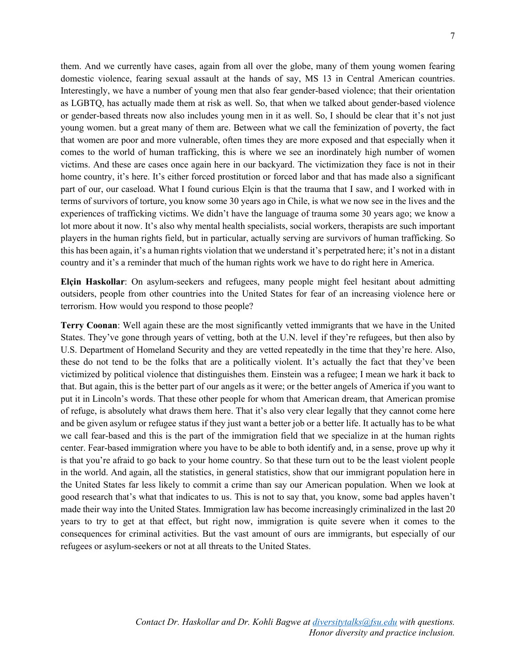them. And we currently have cases, again from all over the globe, many of them young women fearing domestic violence, fearing sexual assault at the hands of say, MS 13 in Central American countries. Interestingly, we have a number of young men that also fear gender-based violence; that their orientation as LGBTQ, has actually made them at risk as well. So, that when we talked about gender-based violence or gender-based threats now also includes young men in it as well. So, I should be clear that it's not just young women. but a great many of them are. Between what we call the feminization of poverty, the fact that women are poor and more vulnerable, often times they are more exposed and that especially when it comes to the world of human trafficking, this is where we see an inordinately high number of women victims. And these are cases once again here in our backyard. The victimization they face is not in their home country, it's here. It's either forced prostitution or forced labor and that has made also a significant part of our, our caseload. What I found curious Elçin is that the trauma that I saw, and I worked with in terms of survivors of torture, you know some 30 years ago in Chile, is what we now see in the lives and the experiences of trafficking victims. We didn't have the language of trauma some 30 years ago; we know a lot more about it now. It's also why mental health specialists, social workers, therapists are such important players in the human rights field, but in particular, actually serving are survivors of human trafficking. So this has been again, it's a human rights violation that we understand it's perpetrated here; it's not in a distant country and it's a reminder that much of the human rights work we have to do right here in America.

**Elçin Haskollar**: On asylum-seekers and refugees, many people might feel hesitant about admitting outsiders, people from other countries into the United States for fear of an increasing violence here or terrorism. How would you respond to those people?

**Terry Coonan**: Well again these are the most significantly vetted immigrants that we have in the United States. They've gone through years of vetting, both at the U.N. level if they're refugees, but then also by U.S. Department of Homeland Security and they are vetted repeatedly in the time that they're here. Also, these do not tend to be the folks that are a politically violent. It's actually the fact that they've been victimized by political violence that distinguishes them. Einstein was a refugee; I mean we hark it back to that. But again, this is the better part of our angels as it were; or the better angels of America if you want to put it in Lincoln's words. That these other people for whom that American dream, that American promise of refuge, is absolutely what draws them here. That it's also very clear legally that they cannot come here and be given asylum or refugee status if they just want a better job or a better life. It actually has to be what we call fear-based and this is the part of the immigration field that we specialize in at the human rights center. Fear-based immigration where you have to be able to both identify and, in a sense, prove up why it is that you're afraid to go back to your home country. So that these turn out to be the least violent people in the world. And again, all the statistics, in general statistics, show that our immigrant population here in the United States far less likely to commit a crime than say our American population. When we look at good research that's what that indicates to us. This is not to say that, you know, some bad apples haven't made their way into the United States. Immigration law has become increasingly criminalized in the last 20 years to try to get at that effect, but right now, immigration is quite severe when it comes to the consequences for criminal activities. But the vast amount of ours are immigrants, but especially of our refugees or asylum-seekers or not at all threats to the United States.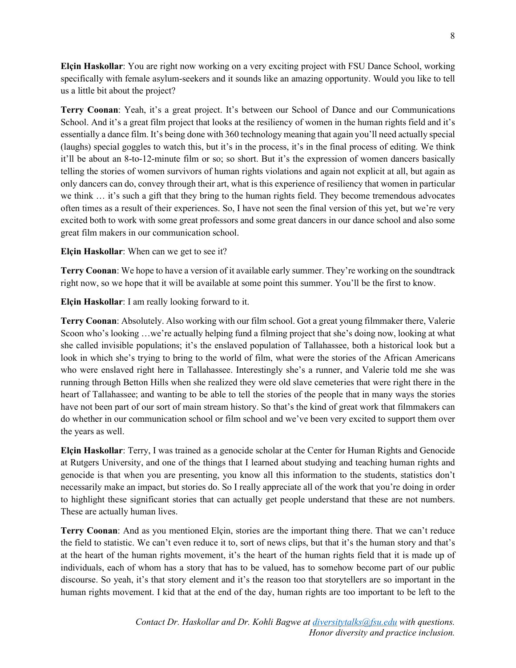**Elçin Haskollar**: You are right now working on a very exciting project with FSU Dance School, working specifically with female asylum-seekers and it sounds like an amazing opportunity. Would you like to tell us a little bit about the project?

**Terry Coonan**: Yeah, it's a great project. It's between our School of Dance and our Communications School. And it's a great film project that looks at the resiliency of women in the human rights field and it's essentially a dance film. It's being done with 360 technology meaning that again you'll need actually special (laughs) special goggles to watch this, but it's in the process, it's in the final process of editing. We think it'll be about an 8-to-12-minute film or so; so short. But it's the expression of women dancers basically telling the stories of women survivors of human rights violations and again not explicit at all, but again as only dancers can do, convey through their art, what is this experience of resiliency that women in particular we think … it's such a gift that they bring to the human rights field. They become tremendous advocates often times as a result of their experiences. So, I have not seen the final version of this yet, but we're very excited both to work with some great professors and some great dancers in our dance school and also some great film makers in our communication school.

## **Elçin Haskollar**: When can we get to see it?

**Terry Coonan**: We hope to have a version of it available early summer. They're working on the soundtrack right now, so we hope that it will be available at some point this summer. You'll be the first to know.

**Elçin Haskollar**: I am really looking forward to it.

**Terry Coonan**: Absolutely. Also working with our film school. Got a great young filmmaker there, Valerie Scoon who's looking …we're actually helping fund a filming project that she's doing now, looking at what she called invisible populations; it's the enslaved population of Tallahassee, both a historical look but a look in which she's trying to bring to the world of film, what were the stories of the African Americans who were enslaved right here in Tallahassee. Interestingly she's a runner, and Valerie told me she was running through Betton Hills when she realized they were old slave cemeteries that were right there in the heart of Tallahassee; and wanting to be able to tell the stories of the people that in many ways the stories have not been part of our sort of main stream history. So that's the kind of great work that filmmakers can do whether in our communication school or film school and we've been very excited to support them over the years as well.

**Elçin Haskollar**: Terry, I was trained as a genocide scholar at the Center for Human Rights and Genocide at Rutgers University, and one of the things that I learned about studying and teaching human rights and genocide is that when you are presenting, you know all this information to the students, statistics don't necessarily make an impact, but stories do. So I really appreciate all of the work that you're doing in order to highlight these significant stories that can actually get people understand that these are not numbers. These are actually human lives.

**Terry Coonan**: And as you mentioned Elçin, stories are the important thing there. That we can't reduce the field to statistic. We can't even reduce it to, sort of news clips, but that it's the human story and that's at the heart of the human rights movement, it's the heart of the human rights field that it is made up of individuals, each of whom has a story that has to be valued, has to somehow become part of our public discourse. So yeah, it's that story element and it's the reason too that storytellers are so important in the human rights movement. I kid that at the end of the day, human rights are too important to be left to the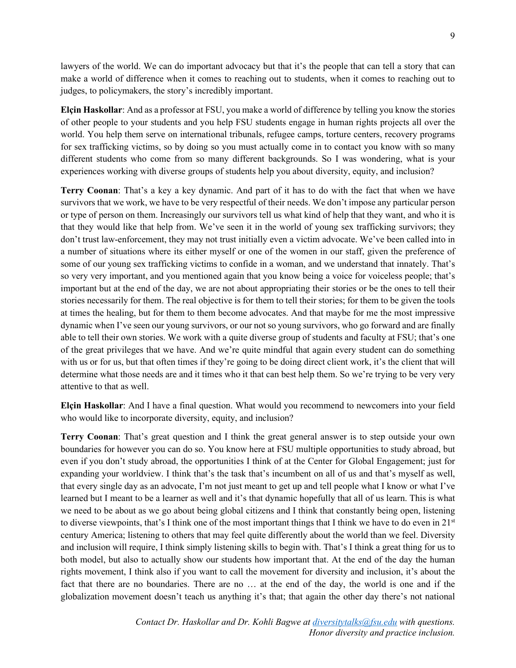lawyers of the world. We can do important advocacy but that it's the people that can tell a story that can make a world of difference when it comes to reaching out to students, when it comes to reaching out to judges, to policymakers, the story's incredibly important.

**Elçin Haskollar**: And as a professor at FSU, you make a world of difference by telling you know the stories of other people to your students and you help FSU students engage in human rights projects all over the world. You help them serve on international tribunals, refugee camps, torture centers, recovery programs for sex trafficking victims, so by doing so you must actually come in to contact you know with so many different students who come from so many different backgrounds. So I was wondering, what is your experiences working with diverse groups of students help you about diversity, equity, and inclusion?

**Terry Coonan**: That's a key a key dynamic. And part of it has to do with the fact that when we have survivors that we work, we have to be very respectful of their needs. We don't impose any particular person or type of person on them. Increasingly our survivors tell us what kind of help that they want, and who it is that they would like that help from. We've seen it in the world of young sex trafficking survivors; they don't trust law-enforcement, they may not trust initially even a victim advocate. We've been called into in a number of situations where its either myself or one of the women in our staff, given the preference of some of our young sex trafficking victims to confide in a woman, and we understand that innately. That's so very very important, and you mentioned again that you know being a voice for voiceless people; that's important but at the end of the day, we are not about appropriating their stories or be the ones to tell their stories necessarily for them. The real objective is for them to tell their stories; for them to be given the tools at times the healing, but for them to them become advocates. And that maybe for me the most impressive dynamic when I've seen our young survivors, or our not so young survivors, who go forward and are finally able to tell their own stories. We work with a quite diverse group of students and faculty at FSU; that's one of the great privileges that we have. And we're quite mindful that again every student can do something with us or for us, but that often times if they're going to be doing direct client work, it's the client that will determine what those needs are and it times who it that can best help them. So we're trying to be very very attentive to that as well.

**Elçin Haskollar**: And I have a final question. What would you recommend to newcomers into your field who would like to incorporate diversity, equity, and inclusion?

**Terry Coonan**: That's great question and I think the great general answer is to step outside your own boundaries for however you can do so. You know here at FSU multiple opportunities to study abroad, but even if you don't study abroad, the opportunities I think of at the Center for Global Engagement; just for expanding your worldview. I think that's the task that's incumbent on all of us and that's myself as well, that every single day as an advocate, I'm not just meant to get up and tell people what I know or what I've learned but I meant to be a learner as well and it's that dynamic hopefully that all of us learn. This is what we need to be about as we go about being global citizens and I think that constantly being open, listening to diverse viewpoints, that's I think one of the most important things that I think we have to do even in  $21^{st}$ century America; listening to others that may feel quite differently about the world than we feel. Diversity and inclusion will require, I think simply listening skills to begin with. That's I think a great thing for us to both model, but also to actually show our students how important that. At the end of the day the human rights movement, I think also if you want to call the movement for diversity and inclusion, it's about the fact that there are no boundaries. There are no … at the end of the day, the world is one and if the globalization movement doesn't teach us anything it's that; that again the other day there's not national